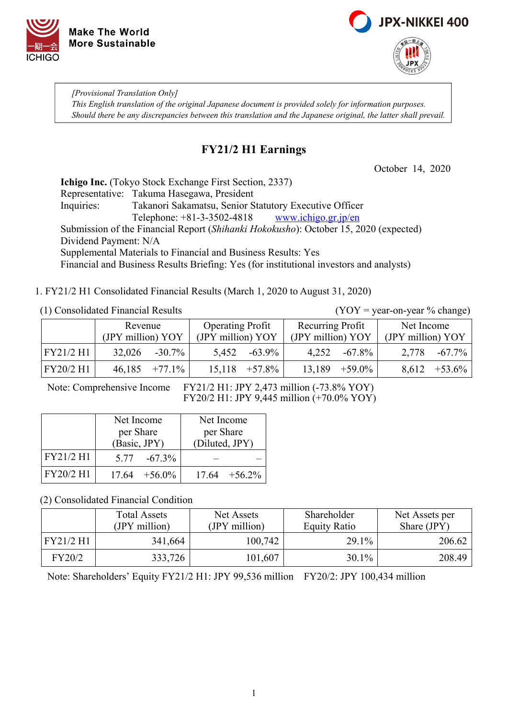



*[Provisional Translation Only] This English translation of the original Japanese document is provided solely for information purposes. Should there be any discrepancies between this translation and the Japanese original, the latter shall prevail.*

### **FY21/2 H1 Earnings**

October 14, 2020

**Ichigo Inc.** (Tokyo Stock Exchange First Section, 2337) Representative: Takuma Hasegawa, President Inquiries: Takanori Sakamatsu, Senior Statutory Executive Officer Telephone: +81-3-3502-4818 [www.ichigo.gr.jp/en](https://www.ichigo.gr.jp/en) Submission of the Financial Report (*Shihanki Hokokusho*): October 15, 2020 (expected) Dividend Payment: N/A Supplemental Materials to Financial and Business Results: Yes Financial and Business Results Briefing: Yes (for institutional investors and analysts)

1. FY21/2 H1 Consolidated Financial Results (March 1, 2020 to August 31, 2020)

#### (1) Consolidated Financial Results (YOY = year-on-year % change)

|           | Revenue           |           | <b>Operating Profit</b> |           | Recurring Profit  |                    | Net Income        |           |
|-----------|-------------------|-----------|-------------------------|-----------|-------------------|--------------------|-------------------|-----------|
|           | (JPY million) YOY |           | (JPY million) YOY       |           | (JPY million) YOY |                    | (JPY million) YOY |           |
| FY21/2 H1 | 32,026            | $-30.7\%$ | 5,452                   | $-63.9\%$ | 4.252             | $-67.8\%$          | 2,778             | $-67.7\%$ |
| FY20/2 H1 | 46,185            | $+77.1\%$ | 15,118                  | $+57.8\%$ |                   | $13,189$ $+59.0\%$ | 8,612             | $+53.6\%$ |

Note: Comprehensive Income FY21/2 H1: JPY 2,473 million (-73.8% YOY) FY20/2 H1: JPY 9,445 million (+70.0% YOY)

|           | Net Income       | Net Income       |
|-----------|------------------|------------------|
|           | per Share        | per Share        |
|           | (Basic, JPY)     | (Diluted, JPY)   |
| FY21/2 H1 | $5.77 - 67.3\%$  |                  |
| FY20/2 H1 | $17.64 + 56.0\%$ | $17.64 + 56.2\%$ |

(2) Consolidated Financial Condition

|           | <b>Total Assets</b><br>(JPY million) | Net Assets<br>(JPY million) | Shareholder<br><b>Equity Ratio</b> | Net Assets per<br>Share (JPY) |
|-----------|--------------------------------------|-----------------------------|------------------------------------|-------------------------------|
| FY21/2 H1 | 341,664                              | 100,742                     | 29.1%                              | 206.62                        |
| FY20/2    | 333,726                              | 101,607                     | $30.1\%$                           | 208.49                        |

Note: Shareholders' Equity FY21/2 H1: JPY 99,536 million FY20/2: JPY 100,434 million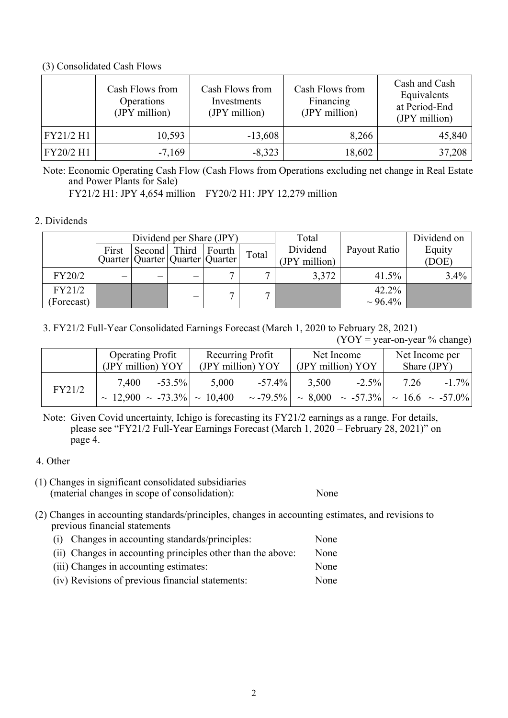#### (3) Consolidated Cash Flows

|           | Cash Flows from<br>Operations<br>(JPY million) | Cash Flows from<br>Investments<br>(JPY million) | Cash Flows from<br>Financing<br>(JPY million) | Cash and Cash<br>Equivalents<br>at Period-End<br>(JPY million) |
|-----------|------------------------------------------------|-------------------------------------------------|-----------------------------------------------|----------------------------------------------------------------|
| FY21/2 H1 | 10,593                                         | $-13,608$                                       | 8,266                                         | 45,840                                                         |
| FY20/2 H1 | $-7,169$                                       | $-8,323$                                        | 18,602                                        | 37,208                                                         |

Note: Economic Operating Cash Flow (Cash Flows from Operations excluding net change in Real Estate and Power Plants for Sale)

FY21/2 H1: JPY 4,654 million FY20/2 H1: JPY 12,279 million

#### 2. Dividends

|            |       |              | Dividend per Share (JPY)              |              | Total         |               | Dividend on |
|------------|-------|--------------|---------------------------------------|--------------|---------------|---------------|-------------|
|            | First | Second Third | Fourth                                | Total        | Dividend      | Payout Ratio  | Equity      |
|            |       |              | Quarter   Quarter   Quarter   Quarter |              | (JPY million) |               | (DOE)       |
| FY20/2     | —     |              |                                       | $\mathbf{r}$ | 3,372         | 41.5%         | $3.4\%$     |
| FY21/2     |       |              |                                       | $\mathbf{r}$ |               | 42.2%         |             |
| (Forecast) |       |              |                                       |              |               | $\sim 96.4\%$ |             |

3. FY21/2 Full-Year Consolidated Earnings Forecast (March 1, 2020 to February 28, 2021)

 $(YOY = year-on-year \% change)$ 

|        | <b>Operating Profit</b>                                         | Recurring Profit                    | Net Income                                                              | Net Income per   |
|--------|-----------------------------------------------------------------|-------------------------------------|-------------------------------------------------------------------------|------------------|
|        | (JPY million) YOY                                               | (JPY million) YOY                   | (JPY million) YOY                                                       | Share $(JPY)$    |
| FY21/2 | 7,400<br>$-53.5\%$<br>$\sim$ 12,900 $\sim$ -73.3% $\sim$ 10,400 | $-57.4\%$<br>5,000<br>$\sim$ -79.5% | $-2.5\%$<br>3,500<br>$\sim 8,000 \sim -57.3\%$ $\sim 16.6 \sim -57.0\%$ | $-1.7\%$<br>7.26 |

Note: Given Covid uncertainty, Ichigo is forecasting its FY21/2 earnings as a range. For details, please see "FY21/2 Full-Year Earnings Forecast (March 1, 2020 – February 28, 2021)" on page 4.

### 4. Other

- (1) Changes in significant consolidated subsidiaries (material changes in scope of consolidation): None
- (2) Changes in accounting standards/principles, changes in accounting estimates, and revisions to previous financial statements
	- (i) Changes in accounting standards/principles: None
	- (ii) Changes in accounting principles other than the above: None
	- (iii) Changes in accounting estimates: None
	- (iv) Revisions of previous financial statements: None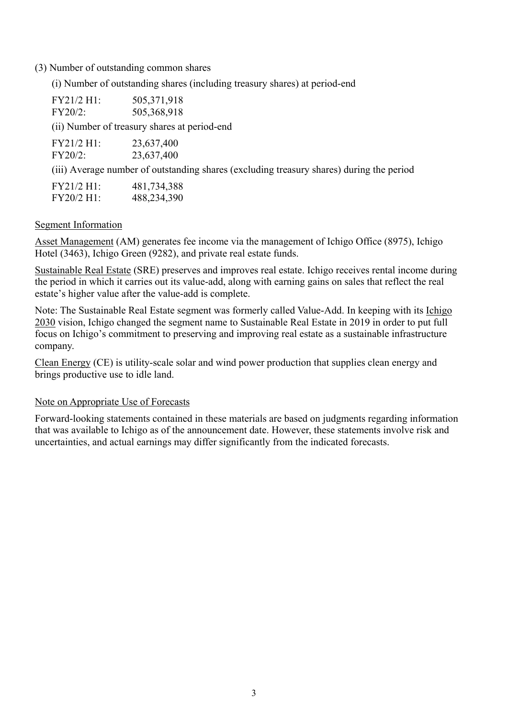(3) Number of outstanding common shares

(i) Number of outstanding shares (including treasury shares) at period-end

| FY21/2 H1:<br>FY20/2:    | 505,371,918<br>505,368,918                                                               |
|--------------------------|------------------------------------------------------------------------------------------|
|                          | (ii) Number of treasury shares at period-end                                             |
| FY21/2 H1:<br>$FY20/2$ : | 23,637,400<br>23,637,400                                                                 |
|                          | (iii) Average number of outstanding shares (excluding treasury shares) during the period |
| FY21/2 H1:               | 481,734,388                                                                              |

# FY20/2 H1: 488,234,390

### Segment Information

Asset Management (AM) generates fee income via the management of Ichigo Office (8975), Ichigo Hotel (3463), Ichigo Green (9282), and private real estate funds.

Sustainable Real Estate (SRE) preserves and improves real estate. Ichigo receives rental income during the period in which it carries out its value-add, along with earning gains on sales that reflect the real estate's higher value after the value-add is complete.

Note: The Sustainable Real Estate segment was formerly called Value-Add. In keeping with its Ichigo 2030 vision, Ichigo changed the segment name to Sustainable Real Estate in 2019 in order to put full focus on Ichigo's commitment to preserving and improving real estate as a sustainable infrastructure company.

Clean Energy (CE) is utility-scale solar and wind power production that supplies clean energy and brings productive use to idle land.

### Note on Appropriate Use of Forecasts

Forward-looking statements contained in these materials are based on judgments regarding information that was available to Ichigo as of the announcement date. However, these statements involve risk and uncertainties, and actual earnings may differ significantly from the indicated forecasts.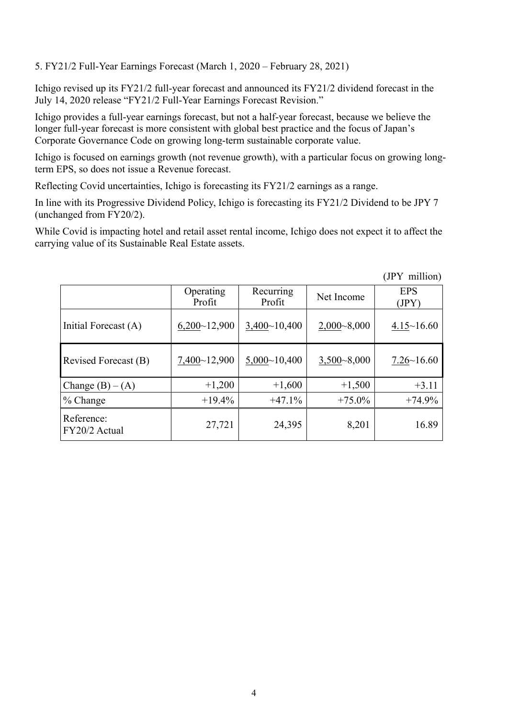5. FY21/2 Full-Year Earnings Forecast (March 1, 2020 – February 28, 2021)

Ichigo revised up its FY21/2 full-year forecast and announced its FY21/2 dividend forecast in the July 14, 2020 release "FY21/2 Full-Year Earnings Forecast Revision."

Ichigo provides a full-year earnings forecast, but not a half-year forecast, because we believe the longer full-year forecast is more consistent with global best practice and the focus of Japan's Corporate Governance Code on growing long-term sustainable corporate value.

Ichigo is focused on earnings growth (not revenue growth), with a particular focus on growing longterm EPS, so does not issue a Revenue forecast.

Reflecting Covid uncertainties, Ichigo is forecasting its FY21/2 earnings as a range.

In line with its Progressive Dividend Policy, Ichigo is forecasting its FY21/2 Dividend to be JPY 7 (unchanged from FY20/2).

While Covid is impacting hotel and retail asset rental income, Ichigo does not expect it to affect the carrying value of its Sustainable Real Estate assets.

|                             | Operating<br>Profit | Recurring<br>Profit | Net Income      | <b>EPS</b><br>(JPY) |
|-----------------------------|---------------------|---------------------|-----------------|---------------------|
| Initial Forecast (A)        | 6,200~12,900        | 3,400~10,400        | $2,000 - 8,000$ | $4.15 \sim 16.60$   |
| Revised Forecast (B)        | 7,400~12,900        | 5,000~10,400        | $3,500 - 8,000$ | $7.26 \times 16.60$ |
| Change $(B) - (A)$          | $+1,200$            | $+1,600$            | $+1,500$        | $+3.11$             |
| $%$ Change                  | $+19.4%$            | $+47.1%$            | $+75.0\%$       | $+74.9%$            |
| Reference:<br>FY20/2 Actual | 27,721              | 24,395              | 8,201           | 16.89               |

(JPY million)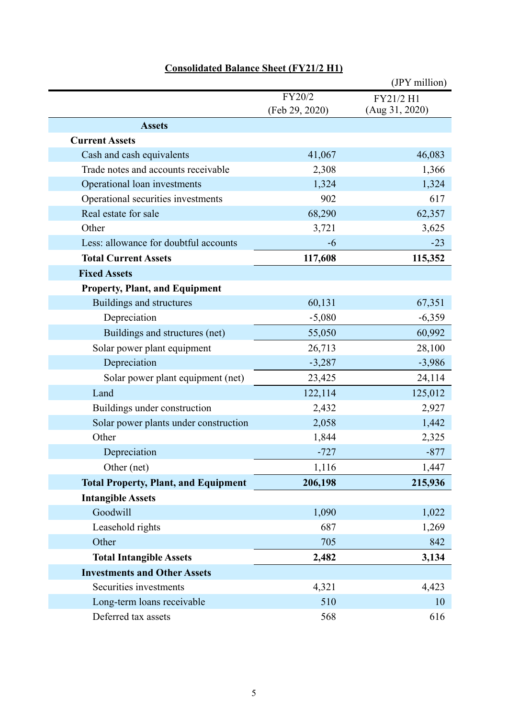|                                             |                | (JPY million)  |
|---------------------------------------------|----------------|----------------|
|                                             | FY20/2         | FY21/2 H1      |
|                                             | (Feb 29, 2020) | (Aug 31, 2020) |
| <b>Assets</b>                               |                |                |
| <b>Current Assets</b>                       |                |                |
| Cash and cash equivalents                   | 41,067         | 46,083         |
| Trade notes and accounts receivable         | 2,308          | 1,366          |
| Operational loan investments                | 1,324          | 1,324          |
| Operational securities investments          | 902            | 617            |
| Real estate for sale                        | 68,290         | 62,357         |
| Other                                       | 3,721          | 3,625          |
| Less: allowance for doubtful accounts       | -6             | $-23$          |
| <b>Total Current Assets</b>                 | 117,608        | 115,352        |
| <b>Fixed Assets</b>                         |                |                |
| <b>Property, Plant, and Equipment</b>       |                |                |
| <b>Buildings and structures</b>             | 60,131         | 67,351         |
| Depreciation                                | $-5,080$       | $-6,359$       |
| Buildings and structures (net)              | 55,050         | 60,992         |
| Solar power plant equipment                 | 26,713         | 28,100         |
| Depreciation                                | $-3,287$       | $-3,986$       |
| Solar power plant equipment (net)           | 23,425         | 24,114         |
| Land                                        | 122,114        | 125,012        |
| Buildings under construction                | 2,432          | 2,927          |
| Solar power plants under construction       | 2,058          | 1,442          |
| Other                                       | 1,844          | 2,325          |
| Depreciation                                | $-727$         | $-877$         |
| Other (net)                                 | 1,116          | 1,447          |
| <b>Total Property, Plant, and Equipment</b> | 206,198        | 215,936        |
| <b>Intangible Assets</b>                    |                |                |
| Goodwill                                    | 1,090          | 1,022          |
| Leasehold rights                            | 687            | 1,269          |
| Other                                       | 705            | 842            |
| <b>Total Intangible Assets</b>              | 2,482          | 3,134          |
| <b>Investments and Other Assets</b>         |                |                |
| Securities investments                      | 4,321          | 4,423          |
| Long-term loans receivable                  | 510            | 10             |
| Deferred tax assets                         | 568            | 616            |

# **Consolidated Balance Sheet (FY21/2 H1)**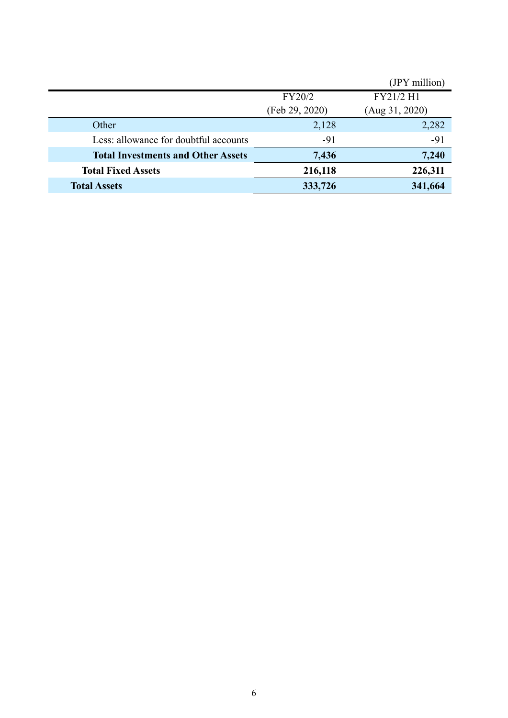|                                           |                | (JPY million)  |
|-------------------------------------------|----------------|----------------|
|                                           | FY20/2         | FY21/2 H1      |
|                                           | (Feb 29, 2020) | (Aug 31, 2020) |
| Other                                     | 2,128          | 2,282          |
| Less: allowance for doubtful accounts     | $-91$          | $-91$          |
| <b>Total Investments and Other Assets</b> | 7,436          | 7,240          |
| <b>Total Fixed Assets</b>                 | 216,118        | 226,311        |
| <b>Total Assets</b>                       | 333,726        | 341,664        |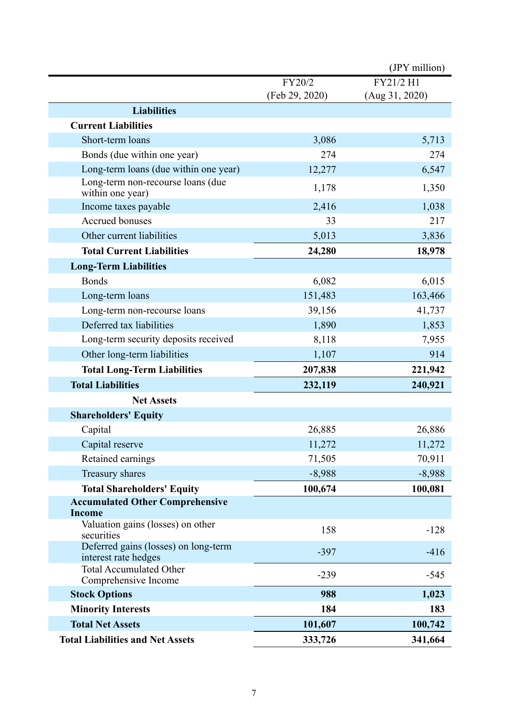|                                                              |                | (JPY million)  |
|--------------------------------------------------------------|----------------|----------------|
|                                                              | FY20/2         | FY21/2 H1      |
|                                                              | (Feb 29, 2020) | (Aug 31, 2020) |
| <b>Liabilities</b>                                           |                |                |
| <b>Current Liabilities</b>                                   |                |                |
| Short-term loans                                             | 3,086          | 5,713          |
| Bonds (due within one year)                                  | 274            | 274            |
| Long-term loans (due within one year)                        | 12,277         | 6,547          |
| Long-term non-recourse loans (due<br>within one year)        | 1,178          | 1,350          |
| Income taxes payable                                         | 2,416          | 1,038          |
| Accrued bonuses                                              | 33             | 217            |
| Other current liabilities                                    | 5,013          | 3,836          |
| <b>Total Current Liabilities</b>                             | 24,280         | 18,978         |
| <b>Long-Term Liabilities</b>                                 |                |                |
| <b>Bonds</b>                                                 | 6,082          | 6,015          |
| Long-term loans                                              | 151,483        | 163,466        |
| Long-term non-recourse loans                                 | 39,156         | 41,737         |
| Deferred tax liabilities                                     | 1,890          | 1,853          |
| Long-term security deposits received                         | 8,118          | 7,955          |
| Other long-term liabilities                                  | 1,107          | 914            |
| <b>Total Long-Term Liabilities</b>                           | 207,838        | 221,942        |
| <b>Total Liabilities</b>                                     | 232,119        | 240,921        |
| <b>Net Assets</b>                                            |                |                |
| <b>Shareholders' Equity</b>                                  |                |                |
| Capital                                                      | 26,885         | 26,886         |
| Capital reserve                                              | 11,272         | 11,272         |
| Retained earnings                                            | 71,505         | 70,911         |
| Treasury shares                                              | $-8,988$       | $-8,988$       |
| <b>Total Shareholders' Equity</b>                            | 100,674        | 100,081        |
| <b>Accumulated Other Comprehensive</b><br><b>Income</b>      |                |                |
| Valuation gains (losses) on other<br>securities              | 158            | $-128$         |
| Deferred gains (losses) on long-term<br>interest rate hedges | $-397$         | $-416$         |
| <b>Total Accumulated Other</b><br>Comprehensive Income       | $-239$         | $-545$         |
| <b>Stock Options</b>                                         | 988            | 1,023          |
| <b>Minority Interests</b>                                    | 184            | 183            |
| <b>Total Net Assets</b>                                      | 101,607        | 100,742        |
| <b>Total Liabilities and Net Assets</b>                      | 333,726        | 341,664        |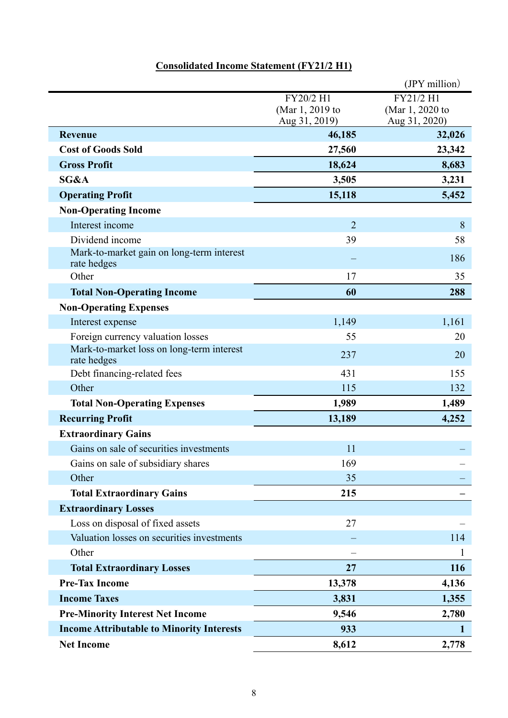### **Consolidated Income Statement (FY21/2 H1)**

|                                                          |                                               | (JPY million)                                 |
|----------------------------------------------------------|-----------------------------------------------|-----------------------------------------------|
|                                                          | FY20/2 H1<br>(Mar 1, 2019 to<br>Aug 31, 2019) | FY21/2 H1<br>(Mar 1, 2020 to<br>Aug 31, 2020) |
| <b>Revenue</b>                                           | 46,185                                        | 32,026                                        |
| <b>Cost of Goods Sold</b>                                | 27,560                                        | 23,342                                        |
| <b>Gross Profit</b>                                      | 18,624                                        | 8,683                                         |
| SG&A                                                     | 3,505                                         | 3,231                                         |
| <b>Operating Profit</b>                                  | 15,118                                        | 5,452                                         |
| <b>Non-Operating Income</b>                              |                                               |                                               |
| Interest income                                          | $\overline{2}$                                | 8                                             |
| Dividend income                                          | 39                                            | 58                                            |
| Mark-to-market gain on long-term interest<br>rate hedges |                                               | 186                                           |
| Other                                                    | 17                                            | 35                                            |
| <b>Total Non-Operating Income</b>                        | 60                                            | 288                                           |
| <b>Non-Operating Expenses</b>                            |                                               |                                               |
| Interest expense                                         | 1,149                                         | 1,161                                         |
| Foreign currency valuation losses                        | 55                                            | 20                                            |
| Mark-to-market loss on long-term interest<br>rate hedges | 237                                           | 20                                            |
| Debt financing-related fees                              | 431                                           | 155                                           |
| Other                                                    | 115                                           | 132                                           |
| <b>Total Non-Operating Expenses</b>                      | 1,989                                         | 1,489                                         |
| <b>Recurring Profit</b>                                  | 13,189                                        | 4,252                                         |
| <b>Extraordinary Gains</b>                               |                                               |                                               |
| Gains on sale of securities investments                  | 11                                            |                                               |
| Gains on sale of subsidiary shares                       | 169                                           |                                               |
| Other                                                    | 35                                            |                                               |
| <b>Total Extraordinary Gains</b>                         | 215                                           |                                               |
| <b>Extraordinary Losses</b>                              |                                               |                                               |
| Loss on disposal of fixed assets                         | 27                                            |                                               |
| Valuation losses on securities investments               |                                               | 114                                           |
| Other                                                    |                                               | $\mathbf 1$                                   |
| <b>Total Extraordinary Losses</b>                        | 27                                            | 116                                           |
| <b>Pre-Tax Income</b>                                    | 13,378                                        | 4,136                                         |
| <b>Income Taxes</b>                                      | 3,831                                         | 1,355                                         |
| <b>Pre-Minority Interest Net Income</b>                  | 9,546                                         | 2,780                                         |
| <b>Income Attributable to Minority Interests</b>         | 933                                           | $\mathbf{1}$                                  |
| <b>Net Income</b>                                        | 8,612                                         | 2,778                                         |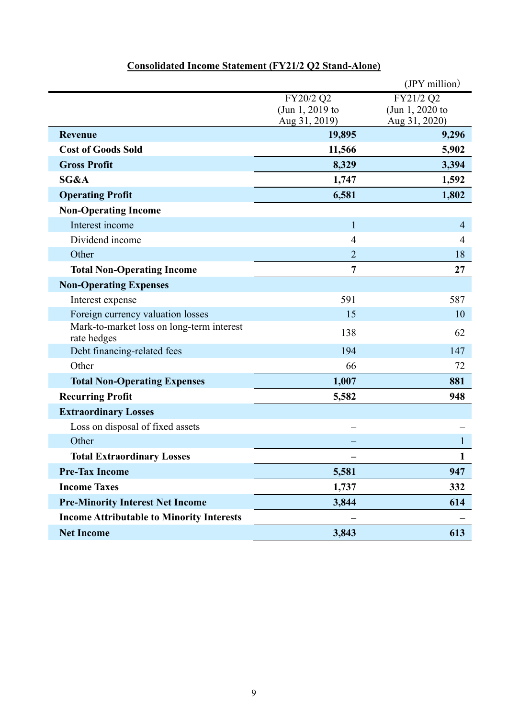|                                                          |                                  | (JPY million)                    |
|----------------------------------------------------------|----------------------------------|----------------------------------|
|                                                          | FY20/2 Q2                        | FY21/2 Q2                        |
|                                                          | (Jun 1, 2019 to<br>Aug 31, 2019) | (Jun 1, 2020 to<br>Aug 31, 2020) |
| <b>Revenue</b>                                           | 19,895                           | 9,296                            |
| <b>Cost of Goods Sold</b>                                | 11,566                           | 5,902                            |
| <b>Gross Profit</b>                                      | 8,329                            | 3,394                            |
| SG&A                                                     | 1,747                            | 1,592                            |
| <b>Operating Profit</b>                                  | 6,581                            | 1,802                            |
| <b>Non-Operating Income</b>                              |                                  |                                  |
| Interest income                                          | $\mathbf{1}$                     | $\overline{4}$                   |
| Dividend income                                          | $\overline{4}$                   | $\overline{4}$                   |
| Other                                                    | $\overline{2}$                   | 18                               |
| <b>Total Non-Operating Income</b>                        | $\overline{7}$                   | 27                               |
| <b>Non-Operating Expenses</b>                            |                                  |                                  |
| Interest expense                                         | 591                              | 587                              |
| Foreign currency valuation losses                        | 15                               | 10                               |
| Mark-to-market loss on long-term interest<br>rate hedges | 138                              | 62                               |
| Debt financing-related fees                              | 194                              | 147                              |
| Other                                                    | 66                               | 72                               |
| <b>Total Non-Operating Expenses</b>                      | 1,007                            | 881                              |
| <b>Recurring Profit</b>                                  | 5,582                            | 948                              |
| <b>Extraordinary Losses</b>                              |                                  |                                  |
| Loss on disposal of fixed assets                         |                                  |                                  |
| Other                                                    |                                  |                                  |
| <b>Total Extraordinary Losses</b>                        |                                  |                                  |
| <b>Pre-Tax Income</b>                                    | 5,581                            | 947                              |
| <b>Income Taxes</b>                                      | 1,737                            | 332                              |
| <b>Pre-Minority Interest Net Income</b>                  | 3,844                            | 614                              |
| <b>Income Attributable to Minority Interests</b>         |                                  |                                  |
| <b>Net Income</b>                                        | 3,843                            | 613                              |

# **Consolidated Income Statement (FY21/2 Q2 Stand-Alone)**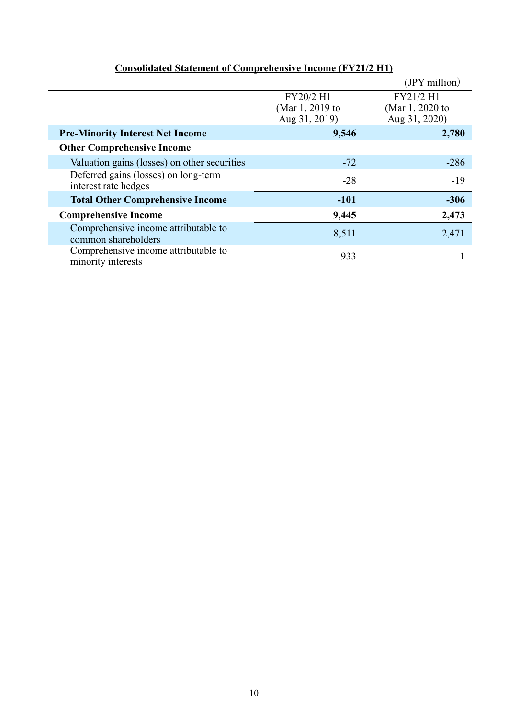|                                                              |                                               | $(IPY$ million)                               |
|--------------------------------------------------------------|-----------------------------------------------|-----------------------------------------------|
|                                                              | FY20/2 H1<br>(Mar 1, 2019 to<br>Aug 31, 2019) | FY21/2 H1<br>(Mar 1, 2020 to<br>Aug 31, 2020) |
| <b>Pre-Minority Interest Net Income</b>                      | 9,546                                         | 2,780                                         |
| <b>Other Comprehensive Income</b>                            |                                               |                                               |
| Valuation gains (losses) on other securities                 | $-72$                                         | $-286$                                        |
| Deferred gains (losses) on long-term<br>interest rate hedges | $-28$                                         | $-19$                                         |
| <b>Total Other Comprehensive Income</b>                      | $-101$                                        | $-306$                                        |
| <b>Comprehensive Income</b>                                  | 9,445                                         | 2,473                                         |
| Comprehensive income attributable to<br>common shareholders  | 8,511                                         | 2,471                                         |
| Comprehensive income attributable to<br>minority interests   | 933                                           |                                               |

### **Consolidated Statement of Comprehensive Income (FY21/2 H1)**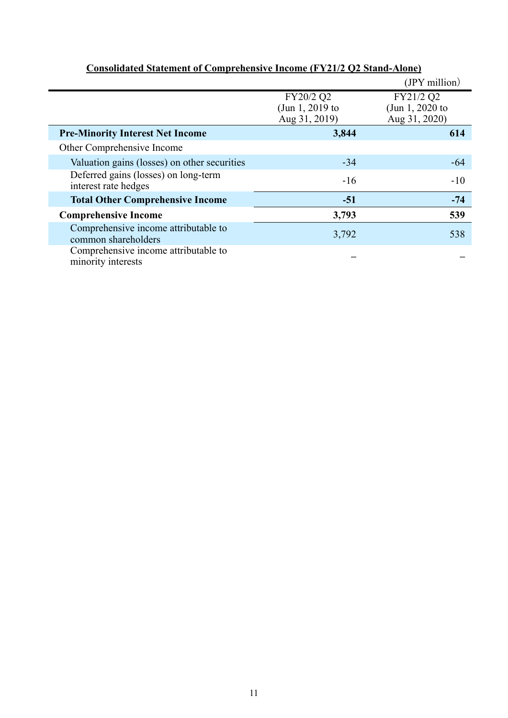|                                                              |                                               | (JPY million)                                 |
|--------------------------------------------------------------|-----------------------------------------------|-----------------------------------------------|
|                                                              | FY20/2 Q2<br>(Jun 1, 2019 to<br>Aug 31, 2019) | FY21/2 Q2<br>(Jun 1, 2020 to<br>Aug 31, 2020) |
| <b>Pre-Minority Interest Net Income</b>                      | 3,844                                         | 614                                           |
| Other Comprehensive Income                                   |                                               |                                               |
| Valuation gains (losses) on other securities                 | $-34$                                         | -64                                           |
| Deferred gains (losses) on long-term<br>interest rate hedges | $-16$                                         | $-10$                                         |
| <b>Total Other Comprehensive Income</b>                      | $-51$                                         | $-74$                                         |
| <b>Comprehensive Income</b>                                  | 3,793                                         | 539                                           |
| Comprehensive income attributable to<br>common shareholders  | 3,792                                         | 538                                           |
| Comprehensive income attributable to<br>minority interests   |                                               |                                               |

### **Consolidated Statement of Comprehensive Income (FY21/2 Q2 Stand-Alone)**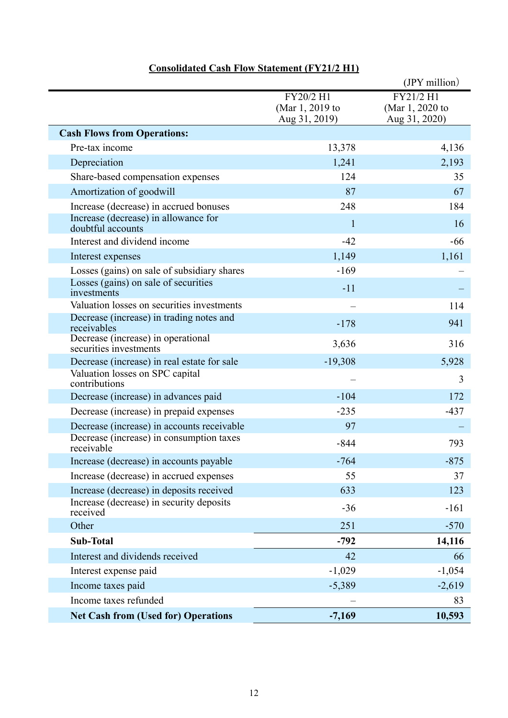|                                                              |                                               | (JPY million)                                 |
|--------------------------------------------------------------|-----------------------------------------------|-----------------------------------------------|
|                                                              | FY20/2 H1<br>(Mar 1, 2019 to<br>Aug 31, 2019) | FY21/2 H1<br>(Mar 1, 2020 to<br>Aug 31, 2020) |
| <b>Cash Flows from Operations:</b>                           |                                               |                                               |
| Pre-tax income                                               | 13,378                                        | 4,136                                         |
| Depreciation                                                 | 1,241                                         | 2,193                                         |
| Share-based compensation expenses                            | 124                                           | 35                                            |
| Amortization of goodwill                                     | 87                                            | 67                                            |
| Increase (decrease) in accrued bonuses                       | 248                                           | 184                                           |
| Increase (decrease) in allowance for<br>doubtful accounts    | $\mathbf{1}$                                  | 16                                            |
| Interest and dividend income                                 | $-42$                                         | $-66$                                         |
| Interest expenses                                            | 1,149                                         | 1,161                                         |
| Losses (gains) on sale of subsidiary shares                  | $-169$                                        |                                               |
| Losses (gains) on sale of securities<br>investments          | $-11$                                         |                                               |
| Valuation losses on securities investments                   |                                               | 114                                           |
| Decrease (increase) in trading notes and<br>receivables      | $-178$                                        | 941                                           |
| Decrease (increase) in operational<br>securities investments | 3,636                                         | 316                                           |
| Decrease (increase) in real estate for sale                  | $-19,308$                                     | 5,928                                         |
| Valuation losses on SPC capital<br>contributions             |                                               | 3                                             |
| Decrease (increase) in advances paid                         | $-104$                                        | 172                                           |
| Decrease (increase) in prepaid expenses                      | $-235$                                        | $-437$                                        |
| Decrease (increase) in accounts receivable                   | 97                                            |                                               |
| Decrease (increase) in consumption taxes<br>receivable       | $-844$                                        | 793                                           |
| Increase (decrease) in accounts payable                      | $-764$                                        | $-875$                                        |
| Increase (decrease) in accrued expenses                      | 55                                            | 37                                            |
| Increase (decrease) in deposits received                     | 633                                           | 123                                           |
| Increase (decrease) in security deposits<br>received         | $-36$                                         | $-161$                                        |
| Other                                                        | 251                                           | $-570$                                        |
| <b>Sub-Total</b>                                             | $-792$                                        | 14,116                                        |
| Interest and dividends received                              | 42                                            | 66                                            |
| Interest expense paid                                        | $-1,029$                                      | $-1,054$                                      |
| Income taxes paid                                            | $-5,389$                                      | $-2,619$                                      |
| Income taxes refunded                                        |                                               | 83                                            |
| <b>Net Cash from (Used for) Operations</b>                   | $-7,169$                                      | 10,593                                        |

### **Consolidated Cash Flow Statement (FY21/2 H1)**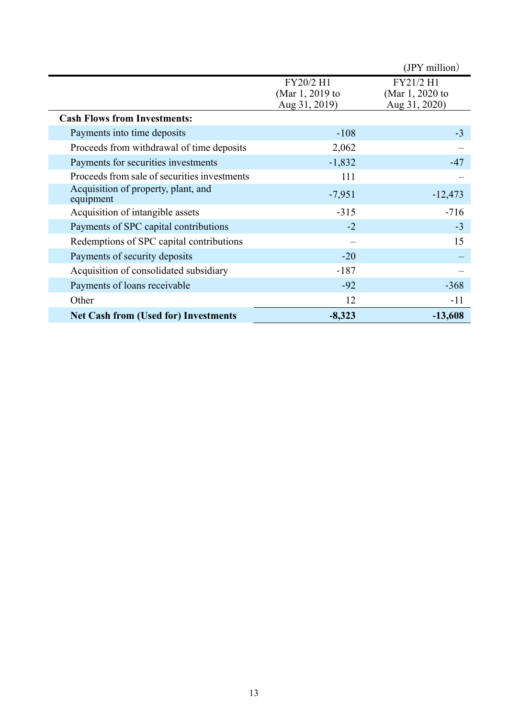|                                                  |                                               | $(IPY$ million)                               |
|--------------------------------------------------|-----------------------------------------------|-----------------------------------------------|
|                                                  | FY20/2 H1<br>(Mar 1, 2019 to<br>Aug 31, 2019) | FY21/2 H1<br>(Mar 1, 2020 to<br>Aug 31, 2020) |
| <b>Cash Flows from Investments:</b>              |                                               |                                               |
| Payments into time deposits                      | $-108$                                        | $-3$                                          |
| Proceeds from withdrawal of time deposits        | 2,062                                         |                                               |
| Payments for securities investments              | $-1,832$                                      | $-47$                                         |
| Proceeds from sale of securities investments     | 111                                           |                                               |
| Acquisition of property, plant, and<br>equipment | $-7,951$                                      | $-12,473$                                     |
| Acquisition of intangible assets                 | $-315$                                        | $-716$                                        |
| Payments of SPC capital contributions            | $-2$                                          | $-3$                                          |
| Redemptions of SPC capital contributions         |                                               | 15                                            |
| Payments of security deposits                    | $-20$                                         |                                               |
| Acquisition of consolidated subsidiary           | $-187$                                        |                                               |
| Payments of loans receivable                     | $-92$                                         | $-368$                                        |
| Other                                            | 12                                            | $-11$                                         |
| <b>Net Cash from (Used for) Investments</b>      | $-8,323$                                      | $-13,608$                                     |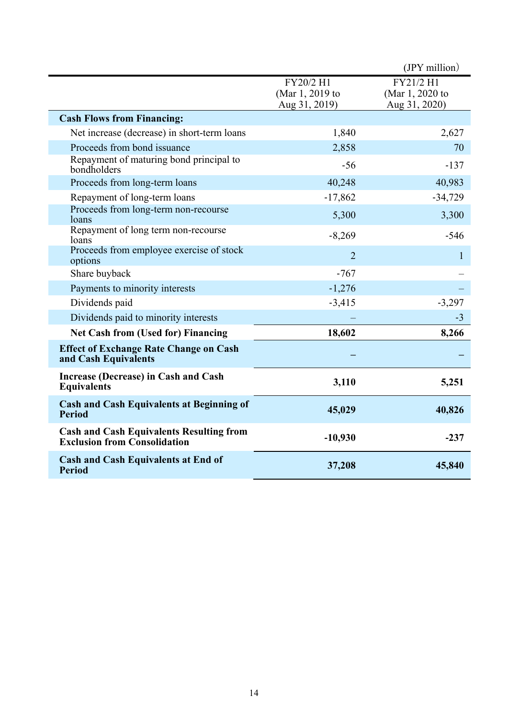|                                                                                        |                                               | (JPY million)                                 |
|----------------------------------------------------------------------------------------|-----------------------------------------------|-----------------------------------------------|
|                                                                                        | FY20/2 H1<br>(Mar 1, 2019 to<br>Aug 31, 2019) | FY21/2 H1<br>(Mar 1, 2020 to<br>Aug 31, 2020) |
| <b>Cash Flows from Financing:</b>                                                      |                                               |                                               |
| Net increase (decrease) in short-term loans                                            | 1,840                                         | 2,627                                         |
| Proceeds from bond issuance                                                            | 2,858                                         | 70                                            |
| Repayment of maturing bond principal to<br>bondholders                                 | $-56$                                         | $-137$                                        |
| Proceeds from long-term loans                                                          | 40,248                                        | 40,983                                        |
| Repayment of long-term loans                                                           | $-17,862$                                     | $-34,729$                                     |
| Proceeds from long-term non-recourse<br>loans                                          | 5,300                                         | 3,300                                         |
| Repayment of long term non-recourse<br>loans                                           | $-8,269$                                      | $-546$                                        |
| Proceeds from employee exercise of stock<br>options                                    | $\overline{2}$                                | 1                                             |
| Share buyback                                                                          | $-767$                                        |                                               |
| Payments to minority interests                                                         | $-1,276$                                      |                                               |
| Dividends paid                                                                         | $-3,415$                                      | $-3,297$                                      |
| Dividends paid to minority interests                                                   |                                               | $-3$                                          |
| <b>Net Cash from (Used for) Financing</b>                                              | 18,602                                        | 8,266                                         |
| <b>Effect of Exchange Rate Change on Cash</b><br>and Cash Equivalents                  |                                               |                                               |
| Increase (Decrease) in Cash and Cash<br><b>Equivalents</b>                             | 3,110                                         | 5,251                                         |
| <b>Cash and Cash Equivalents at Beginning of</b><br><b>Period</b>                      | 45,029                                        | 40,826                                        |
| <b>Cash and Cash Equivalents Resulting from</b><br><b>Exclusion from Consolidation</b> | $-10,930$                                     | $-237$                                        |
| <b>Cash and Cash Equivalents at End of</b><br><b>Period</b>                            | 37,208                                        | 45,840                                        |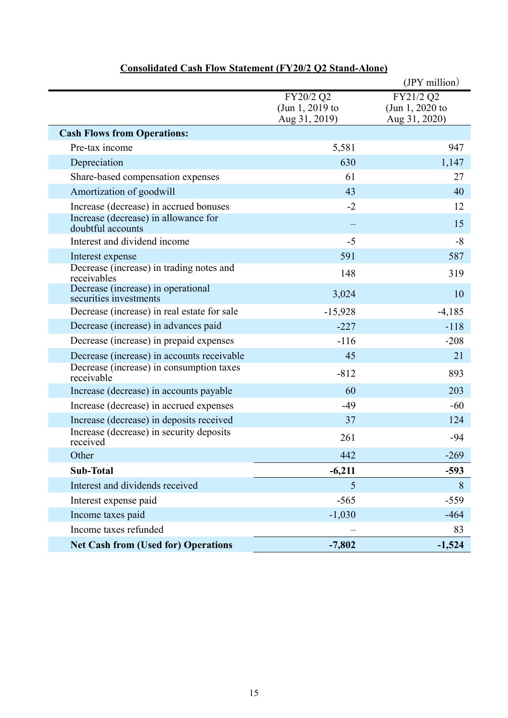|                                                              |                                               | (JPY million)                                 |
|--------------------------------------------------------------|-----------------------------------------------|-----------------------------------------------|
|                                                              | FY20/2 Q2<br>(Jun 1, 2019 to<br>Aug 31, 2019) | FY21/2 Q2<br>(Jun 1, 2020 to<br>Aug 31, 2020) |
| <b>Cash Flows from Operations:</b>                           |                                               |                                               |
| Pre-tax income                                               | 5,581                                         | 947                                           |
| Depreciation                                                 | 630                                           | 1,147                                         |
| Share-based compensation expenses                            | 61                                            | 27                                            |
| Amortization of goodwill                                     | 43                                            | 40                                            |
| Increase (decrease) in accrued bonuses                       | $-2$                                          | 12                                            |
| Increase (decrease) in allowance for<br>doubtful accounts    |                                               | 15                                            |
| Interest and dividend income                                 | $-5$                                          | $-8$                                          |
| Interest expense                                             | 591                                           | 587                                           |
| Decrease (increase) in trading notes and<br>receivables      | 148                                           | 319                                           |
| Decrease (increase) in operational<br>securities investments | 3,024                                         | 10                                            |
| Decrease (increase) in real estate for sale                  | $-15,928$                                     | $-4,185$                                      |
| Decrease (increase) in advances paid                         | $-227$                                        | $-118$                                        |
| Decrease (increase) in prepaid expenses                      | $-116$                                        | $-208$                                        |
| Decrease (increase) in accounts receivable                   | 45                                            | 21                                            |
| Decrease (increase) in consumption taxes<br>receivable       | $-812$                                        | 893                                           |
| Increase (decrease) in accounts payable                      | 60                                            | 203                                           |
| Increase (decrease) in accrued expenses                      | $-49$                                         | $-60$                                         |
| Increase (decrease) in deposits received                     | 37                                            | 124                                           |
| Increase (decrease) in security deposits<br>received         | 261                                           | $-94$                                         |
| Other                                                        | 442                                           | $-269$                                        |
| Sub-Total                                                    | $-6,211$                                      | $-593$                                        |
| Interest and dividends received                              | 5                                             | 8                                             |
| Interest expense paid                                        | $-565$                                        | $-559$                                        |
| Income taxes paid                                            | $-1,030$                                      | $-464$                                        |
| Income taxes refunded                                        |                                               | 83                                            |
| <b>Net Cash from (Used for) Operations</b>                   | $-7,802$                                      | $-1,524$                                      |

### **Consolidated Cash Flow Statement (FY20/2 Q2 Stand-Alone)**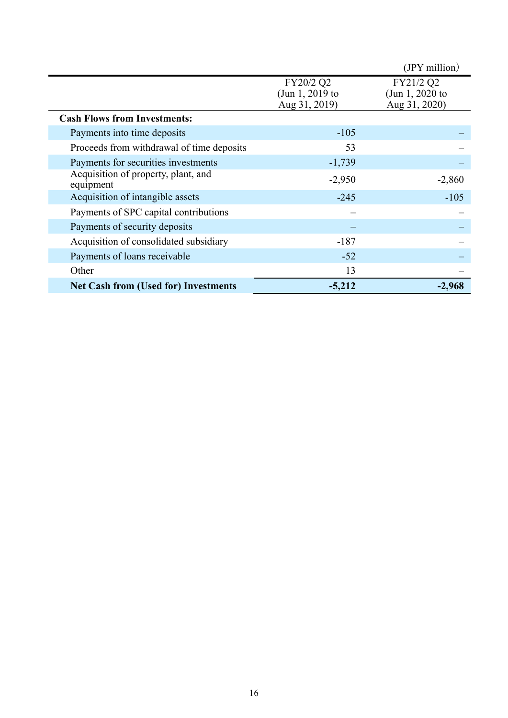|                                                  |                 | (JPY million)   |
|--------------------------------------------------|-----------------|-----------------|
|                                                  | FY20/2 Q2       | FY21/2 Q2       |
|                                                  | (Jun 1, 2019 to | (Jun 1, 2020 to |
|                                                  | Aug 31, 2019)   | Aug 31, 2020)   |
| <b>Cash Flows from Investments:</b>              |                 |                 |
| Payments into time deposits                      | $-105$          |                 |
| Proceeds from withdrawal of time deposits        | 53              |                 |
| Payments for securities investments              | $-1,739$        |                 |
| Acquisition of property, plant, and<br>equipment | $-2,950$        | $-2,860$        |
| Acquisition of intangible assets                 | $-245$          | $-105$          |
| Payments of SPC capital contributions            |                 |                 |
| Payments of security deposits                    |                 |                 |
| Acquisition of consolidated subsidiary           | $-187$          |                 |
| Payments of loans receivable                     | $-52$           |                 |
| Other                                            | 13              |                 |
| <b>Net Cash from (Used for) Investments</b>      | $-5,212$        | $-2,968$        |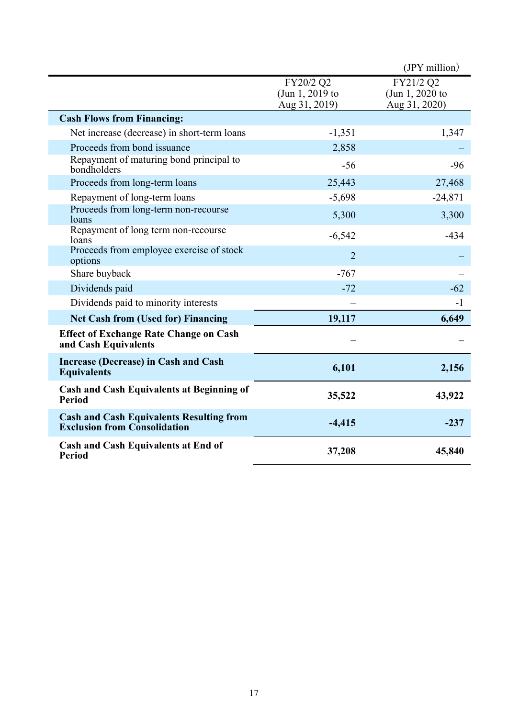|                                                                                        |                                               | $(IPY$ million)                               |
|----------------------------------------------------------------------------------------|-----------------------------------------------|-----------------------------------------------|
|                                                                                        | FY20/2 Q2<br>(Jun 1, 2019 to<br>Aug 31, 2019) | FY21/2 Q2<br>(Jun 1, 2020 to<br>Aug 31, 2020) |
| <b>Cash Flows from Financing:</b>                                                      |                                               |                                               |
| Net increase (decrease) in short-term loans                                            | $-1,351$                                      | 1,347                                         |
| Proceeds from bond issuance                                                            | 2,858                                         |                                               |
| Repayment of maturing bond principal to<br>bondholders                                 | $-56$                                         | $-96$                                         |
| Proceeds from long-term loans                                                          | 25,443                                        | 27,468                                        |
| Repayment of long-term loans                                                           | $-5,698$                                      | $-24,871$                                     |
| Proceeds from long-term non-recourse<br>loans                                          | 5,300                                         | 3,300                                         |
| Repayment of long term non-recourse<br>loans                                           | $-6,542$                                      | $-434$                                        |
| Proceeds from employee exercise of stock<br>options                                    | $\overline{2}$                                |                                               |
| Share buyback                                                                          | $-767$                                        |                                               |
| Dividends paid                                                                         | $-72$                                         | $-62$                                         |
| Dividends paid to minority interests                                                   |                                               | $-1$                                          |
| <b>Net Cash from (Used for) Financing</b>                                              | 19,117                                        | 6,649                                         |
| <b>Effect of Exchange Rate Change on Cash</b><br>and Cash Equivalents                  |                                               |                                               |
| <b>Increase (Decrease) in Cash and Cash</b><br><b>Equivalents</b>                      | 6,101                                         | 2,156                                         |
| <b>Cash and Cash Equivalents at Beginning of</b><br><b>Period</b>                      | 35,522                                        | 43,922                                        |
| <b>Cash and Cash Equivalents Resulting from</b><br><b>Exclusion from Consolidation</b> | $-4,415$                                      | $-237$                                        |
| <b>Cash and Cash Equivalents at End of</b><br><b>Period</b>                            | 37,208                                        | 45,840                                        |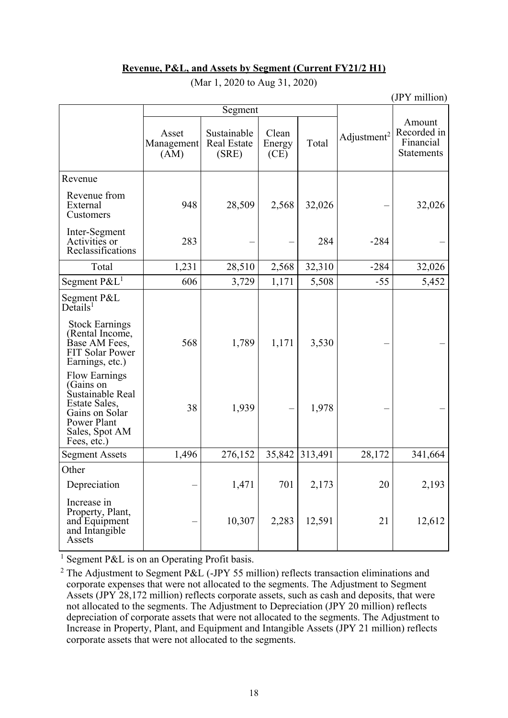#### **Revenue, P&L, and Assets by Segment (Current FY21/2 H1)**

|                                                                                                                                          |                             |                                            |                         |         |                         | (JPY million)                                           |
|------------------------------------------------------------------------------------------------------------------------------------------|-----------------------------|--------------------------------------------|-------------------------|---------|-------------------------|---------------------------------------------------------|
|                                                                                                                                          |                             | Segment                                    |                         |         |                         |                                                         |
|                                                                                                                                          | Asset<br>Management<br>(AM) | Sustainable<br><b>Real Estate</b><br>(SRE) | Clean<br>Energy<br>(CE) | Total   | Adjustment <sup>2</sup> | Amount<br>Recorded in<br>Financial<br><b>Statements</b> |
| Revenue                                                                                                                                  |                             |                                            |                         |         |                         |                                                         |
| Revenue from<br>External<br>Customers                                                                                                    | 948                         | 28,509                                     | 2,568                   | 32,026  |                         | 32,026                                                  |
| Inter-Segment<br>Activities or<br>Reclassifications                                                                                      | 283                         |                                            |                         | 284     | $-284$                  |                                                         |
| Total                                                                                                                                    | 1,231                       | 28,510                                     | 2,568                   | 32,310  | $-284$                  | 32,026                                                  |
| Segment $P\&L^1$                                                                                                                         | 606                         | 3,729                                      | 1,171                   | 5,508   | $-55$                   | 5,452                                                   |
| Segment P&L<br>$De$ tails <sup>1</sup><br><b>Stock Earnings</b>                                                                          |                             |                                            |                         |         |                         |                                                         |
| (Rental Income,<br>Base AM Fees,<br><b>FIT Solar Power</b><br>Earnings, etc.)                                                            | 568                         | 1,789                                      | 1,171                   | 3,530   |                         |                                                         |
| <b>Flow Earnings</b><br>(Gains on<br>Sustainable Real<br>Estate Sales,<br>Gains on Solar<br>Power Plant<br>Sales, Spot AM<br>Fees, etc.) | 38                          | 1,939                                      |                         | 1,978   |                         |                                                         |
| <b>Segment Assets</b>                                                                                                                    | 1,496                       | 276,152                                    | 35,842                  | 313,491 | 28,172                  | 341,664                                                 |
| Other                                                                                                                                    |                             |                                            |                         |         |                         |                                                         |
| Depreciation                                                                                                                             |                             | 1,471                                      | 701                     | 2,173   | 20                      | 2,193                                                   |
| Increase in<br>Property, Plant,<br>and Equipment<br>and Intangible<br>Assets                                                             |                             | 10,307                                     | 2,283                   | 12,591  | 21                      | 12,612                                                  |

(Mar 1, 2020 to Aug 31, 2020)

<sup>1</sup> Segment P&L is on an Operating Profit basis.

<sup>2</sup> The Adjustment to Segment P&L (-JPY 55 million) reflects transaction eliminations and corporate expenses that were not allocated to the segments. The Adjustment to Segment Assets (JPY 28,172 million) reflects corporate assets, such as cash and deposits, that were not allocated to the segments. The Adjustment to Depreciation (JPY 20 million) reflects depreciation of corporate assets that were not allocated to the segments. The Adjustment to Increase in Property, Plant, and Equipment and Intangible Assets (JPY 21 million) reflects corporate assets that were not allocated to the segments.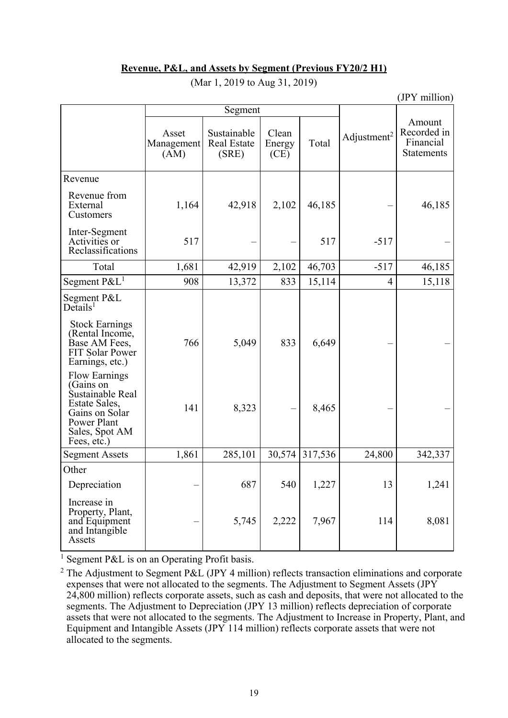#### **Revenue, P&L, and Assets by Segment (Previous FY20/2 H1)**

|                                                                                                                                          |                             |                                            |                         |         |                         | (JPY million)                                           |
|------------------------------------------------------------------------------------------------------------------------------------------|-----------------------------|--------------------------------------------|-------------------------|---------|-------------------------|---------------------------------------------------------|
|                                                                                                                                          |                             | Segment                                    |                         |         |                         |                                                         |
|                                                                                                                                          | Asset<br>Management<br>(AM) | Sustainable<br><b>Real Estate</b><br>(SRE) | Clean<br>Energy<br>(CE) | Total   | Adjustment <sup>2</sup> | Amount<br>Recorded in<br>Financial<br><b>Statements</b> |
| Revenue                                                                                                                                  |                             |                                            |                         |         |                         |                                                         |
| Revenue from<br>External<br>Customers                                                                                                    | 1,164                       | 42,918                                     | 2,102                   | 46,185  |                         | 46,185                                                  |
| Inter-Segment<br>Activities or<br>Reclassifications                                                                                      | 517                         |                                            |                         | 517     | $-517$                  |                                                         |
| Total                                                                                                                                    | 1,681                       | 42,919                                     | 2,102                   | 46,703  | $-517$                  | 46,185                                                  |
| Segment $P\&L^1$                                                                                                                         | 908                         | 13,372                                     | 833                     | 15,114  | $\overline{4}$          | 15,118                                                  |
| Segment P&L<br>$De$ tails <sup>1</sup>                                                                                                   |                             |                                            |                         |         |                         |                                                         |
| <b>Stock Earnings</b><br>(Rental Income,<br>Base AM Fees,<br><b>FIT Solar Power</b><br>Earnings, etc.)                                   | 766                         | 5,049                                      | 833                     | 6,649   |                         |                                                         |
| <b>Flow Earnings</b><br>(Gains on<br>Sustainable Real<br>Estate Sales.<br>Gains on Solar<br>Power Plant<br>Sales, Spot AM<br>Fees, etc.) | 141                         | 8,323                                      |                         | 8,465   |                         |                                                         |
| <b>Segment Assets</b>                                                                                                                    | 1,861                       | 285,101                                    | 30,574                  | 317,536 | 24,800                  | 342,337                                                 |
| Other                                                                                                                                    |                             |                                            |                         |         |                         |                                                         |
| Depreciation                                                                                                                             |                             | 687                                        | 540                     | 1,227   | 13                      | 1,241                                                   |
| Increase in<br>Property, Plant,<br>and Equipment<br>and Intangible<br>Assets                                                             |                             | 5,745                                      | 2,222                   | 7,967   | 114                     | 8,081                                                   |

(Mar 1, 2019 to Aug 31, 2019)

<sup>1</sup> Segment P&L is on an Operating Profit basis.

<sup>2</sup> The Adjustment to Segment P&L (JPY 4 million) reflects transaction eliminations and corporate expenses that were not allocated to the segments. The Adjustment to Segment Assets (JPY 24,800 million) reflects corporate assets, such as cash and deposits, that were not allocated to the segments. The Adjustment to Depreciation (JPY 13 million) reflects depreciation of corporate assets that were not allocated to the segments. The Adjustment to Increase in Property, Plant, and Equipment and Intangible Assets (JPY 114 million) reflects corporate assets that were not allocated to the segments.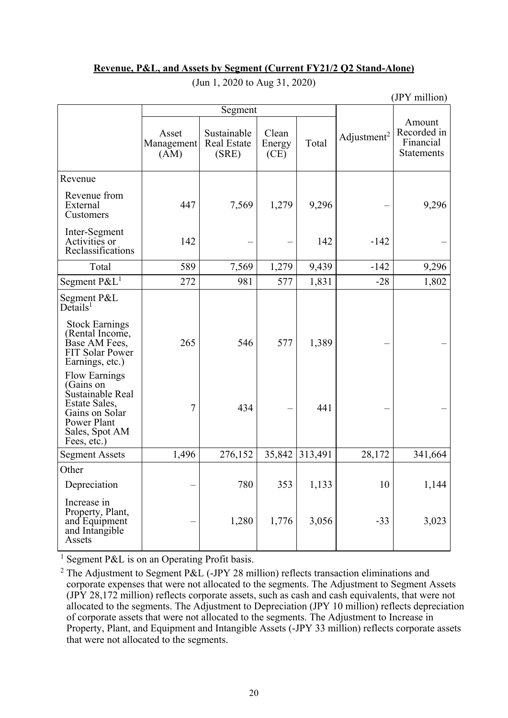|--|

| (JPY million)                                                                                                                                    |                             |                                            |                         |         |                         |                                                  |  |  |
|--------------------------------------------------------------------------------------------------------------------------------------------------|-----------------------------|--------------------------------------------|-------------------------|---------|-------------------------|--------------------------------------------------|--|--|
|                                                                                                                                                  |                             | Segment                                    |                         |         |                         |                                                  |  |  |
|                                                                                                                                                  | Asset<br>Management<br>(AM) | Sustainable<br><b>Real Estate</b><br>(SRE) | Clean<br>Energy<br>(CE) | Total   | Adjustment <sup>2</sup> | Amount<br>Recorded in<br>Financial<br>Statements |  |  |
| Revenue                                                                                                                                          |                             |                                            |                         |         |                         |                                                  |  |  |
| Revenue from<br>External<br>Customers                                                                                                            | 447                         | 7,569                                      | 1,279                   | 9,296   |                         | 9,296                                            |  |  |
| Inter-Segment<br>Activities or<br>Reclassifications                                                                                              | 142                         |                                            |                         | 142     | $-142$                  |                                                  |  |  |
| Total                                                                                                                                            | 589                         | 7,569                                      | 1,279                   | 9,439   | $-142$                  | 9,296                                            |  |  |
| Segment $P\&L^1$                                                                                                                                 | 272                         | 981                                        | 577                     | 1,831   | $-28$                   | 1,802                                            |  |  |
| Segment P&L<br>$De$ tails <sup>1</sup><br><b>Stock Earnings</b><br>(Rental Income,<br>Base AM Fees,<br><b>FIT Solar Power</b><br>Earnings, etc.) | 265                         | 546                                        | 577                     | 1,389   |                         |                                                  |  |  |
| <b>Flow Earnings</b><br>(Gains on<br>Sustainable Real<br>Estate Sales,<br>Gains on Solar<br>Power Plant<br>Sales, Spot AM<br>Fees, etc.)         | $\tau$                      | 434                                        |                         | 441     |                         |                                                  |  |  |
| <b>Segment Assets</b>                                                                                                                            | 1,496                       | 276,152                                    | 35,842                  | 313,491 | 28,172                  | 341,664                                          |  |  |
| Other                                                                                                                                            |                             |                                            |                         |         |                         |                                                  |  |  |
| Depreciation                                                                                                                                     |                             | 780                                        | 353                     | 1,133   | 10                      | 1,144                                            |  |  |
| Increase in<br>Property, Plant,<br>and Equipment<br>and Intangible<br>Assets                                                                     |                             | 1,280                                      | 1,776                   | 3,056   | $-33$                   | 3,023                                            |  |  |

(Jun 1, 2020 to Aug 31, 2020)

<sup>1</sup> Segment P&L is on an Operating Profit basis.

<sup>2</sup> The Adjustment to Segment P&L (-JPY 28 million) reflects transaction eliminations and corporate expenses that were not allocated to the segments. The Adjustment to Segment Assets (JPY 28,172 million) reflects corporate assets, such as cash and cash equivalents, that were not allocated to the segments. The Adjustment to Depreciation (JPY 10 million) reflects depreciation of corporate assets that were not allocated to the segments. The Adjustment to Increase in Property, Plant, and Equipment and Intangible Assets (-JPY 33 million) reflects corporate assets that were not allocated to the segments.